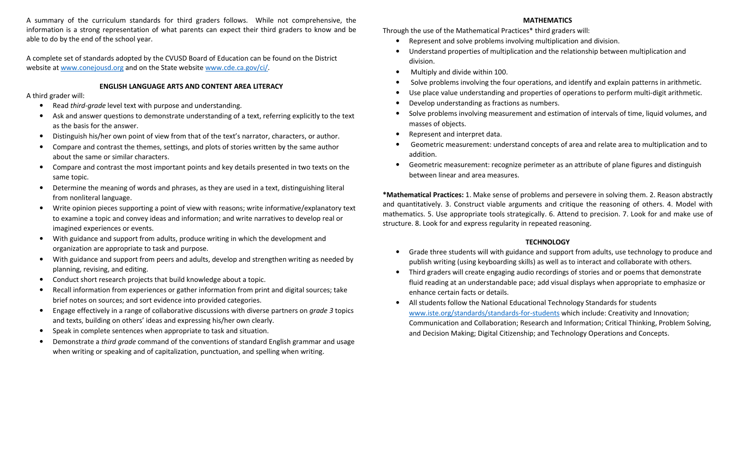A summary of the curriculum standards for third graders follows. While not comprehensive, the information is a strong representation of what parents can expect their third graders to know and be able to do by the end of the school year.

A complete set of standards adopted by the CVUSD Board of Education can be found on the District website at www.conejousd.org and on the State website www.cde.ca.gov/ci/.

## ENGLISH LANGUAGE ARTS AND CONTENT AREA LITERACY

A third grader will:

- $\bullet$ Read third-grade level text with purpose and understanding.
- • Ask and answer questions to demonstrate understanding of a text, referring explicitly to the text as the basis for the answer.
- •Distinguish his/her own point of view from that of the text's narrator, characters, or author.
- • Compare and contrast the themes, settings, and plots of stories written by the same author about the same or similar characters.
- $\bullet$  Compare and contrast the most important points and key details presented in two texts on the same topic.
- $\bullet$  Determine the meaning of words and phrases, as they are used in a text, distinguishing literal from nonliteral language.
- $\bullet$  Write opinion pieces supporting a point of view with reasons; write informative/explanatory text to examine a topic and convey ideas and information; and write narratives to develop real or imagined experiences or events.
- $\bullet$  With guidance and support from adults, produce writing in which the development and organization are appropriate to task and purpose.
- $\bullet$  With guidance and support from peers and adults, develop and strengthen writing as needed by planning, revising, and editing.
- $\bullet$ Conduct short research projects that build knowledge about a topic.
- • Recall information from experiences or gather information from print and digital sources; take brief notes on sources; and sort evidence into provided categories.
- $\bullet$  Engage effectively in a range of collaborative discussions with diverse partners on grade 3 topics and texts, building on others' ideas and expressing his/her own clearly.
- •Speak in complete sentences when appropriate to task and situation.
- • Demonstrate a third grade command of the conventions of standard English grammar and usage when writing or speaking and of capitalization, punctuation, and spelling when writing.

# MATHEMATICS

Through the use of the Mathematical Practices\* third graders will:

- $\bullet$ Represent and solve problems involving multiplication and division.
- • Understand properties of multiplication and the relationship between multiplication and division.
- Multiply and divide within 100.
- Solve problems involving the four operations, and identify and explain patterns in arithmetic.
- •Use place value understanding and properties of operations to perform multi-digit arithmetic.
- •Develop understanding as fractions as numbers.
- • Solve problems involving measurement and estimation of intervals of time, liquid volumes, and masses of objects.
- •Represent and interpret data.
- Geometric measurement: understand concepts of area and relate area to multiplication and to addition.
- $\bullet$  Geometric measurement: recognize perimeter as an attribute of plane figures and distinguish between linear and area measures.

\*Mathematical Practices: 1. Make sense of problems and persevere in solving them. 2. Reason abstractly and quantitatively. 3. Construct viable arguments and critique the reasoning of others. 4. Model with mathematics. 5. Use appropriate tools strategically. 6. Attend to precision. 7. Look for and make use of structure. 8. Look for and express regularity in repeated reasoning.

# **TECHNOLOGY**

- • Grade three students will with guidance and support from adults, use technology to produce and publish writing (using keyboarding skills) as well as to interact and collaborate with others.
- Third graders will create engaging audio recordings of stories and or poems that demonstrate fluid reading at an understandable pace; add visual displays when appropriate to emphasize or enhance certain facts or details.
- • All students follow the National Educational Technology Standards for students www.iste.org/standards/standards-for-students which include: Creativity and Innovation; Communication and Collaboration; Research and Information; Critical Thinking, Problem Solving, and Decision Making; Digital Citizenship; and Technology Operations and Concepts.